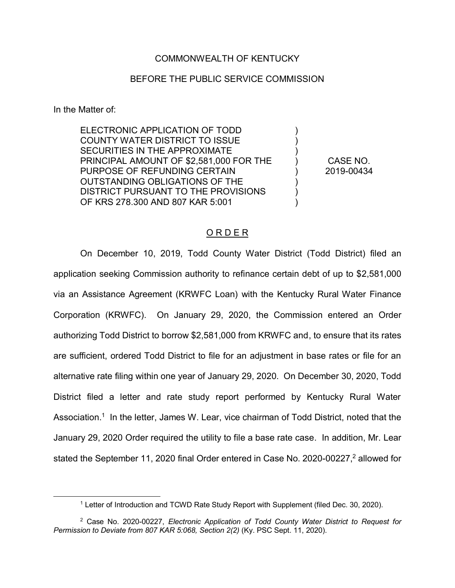## COMMONWEALTH OF KENTUCKY

## BEFORE THE PUBLIC SERVICE COMMISSION

In the Matter of:

ELECTRONIC APPLICATION OF TODD COUNTY WATER DISTRICT TO ISSUE SECURITIES IN THE APPROXIMATE PRINCIPAL AMOUNT OF \$2,581,000 FOR THE PURPOSE OF REFUNDING CERTAIN OUTSTANDING OBLIGATIONS OF THE DISTRICT PURSUANT TO THE PROVISIONS OF KRS 278.300 AND 807 KAR 5:001

CASE NO. 2019-00434

) ) ) ) ) ) ) )

## O R D E R

On December 10, 2019, Todd County Water District (Todd District) filed an application seeking Commission authority to refinance certain debt of up to \$2,581,000 via an Assistance Agreement (KRWFC Loan) with the Kentucky Rural Water Finance Corporation (KRWFC). On January 29, 2020, the Commission entered an Order authorizing Todd District to borrow \$2,581,000 from KRWFC and, to ensure that its rates are sufficient, ordered Todd District to file for an adjustment in base rates or file for an alternative rate filing within one year of January 29, 2020. On December 30, 2020, Todd District filed a letter and rate study report performed by Kentucky Rural Water Association.<sup>1</sup> In the letter, James W. Lear, vice chairman of Todd District, noted that the January 29, 2020 Order required the utility to file a base rate case. In addition, Mr. Lear stated the September 11, 2020 final Order entered in Case No. 2020-00227,<sup>2</sup> allowed for

 <sup>1</sup> Letter of Introduction and TCWD Rate Study Report with Supplement (filed Dec. 30, 2020).

<sup>2</sup> Case No. 2020-00227, *Electronic Application of Todd County Water District to Request for Permission to Deviate from 807 KAR 5:068, Section 2(2)* (Ky. PSC Sept. 11, 2020).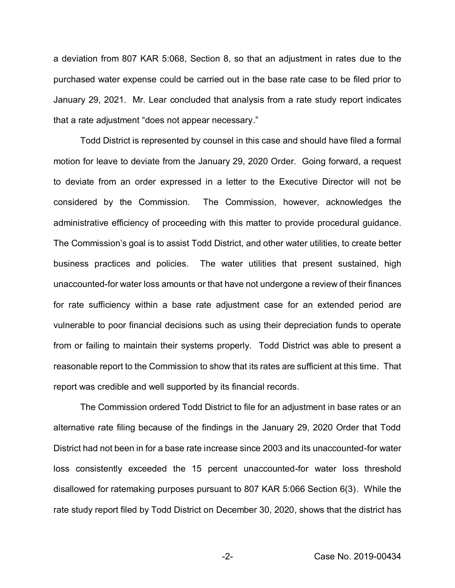a deviation from 807 KAR 5:068, Section 8, so that an adjustment in rates due to the purchased water expense could be carried out in the base rate case to be filed prior to January 29, 2021. Mr. Lear concluded that analysis from a rate study report indicates that a rate adjustment "does not appear necessary."

Todd District is represented by counsel in this case and should have filed a formal motion for leave to deviate from the January 29, 2020 Order. Going forward, a request to deviate from an order expressed in a letter to the Executive Director will not be considered by the Commission. The Commission, however, acknowledges the administrative efficiency of proceeding with this matter to provide procedural guidance. The Commission's goal is to assist Todd District, and other water utilities, to create better business practices and policies. The water utilities that present sustained, high unaccounted-for water loss amounts or that have not undergone a review of their finances for rate sufficiency within a base rate adjustment case for an extended period are vulnerable to poor financial decisions such as using their depreciation funds to operate from or failing to maintain their systems properly. Todd District was able to present a reasonable report to the Commission to show that its rates are sufficient at this time. That report was credible and well supported by its financial records.

The Commission ordered Todd District to file for an adjustment in base rates or an alternative rate filing because of the findings in the January 29, 2020 Order that Todd District had not been in for a base rate increase since 2003 and its unaccounted-for water loss consistently exceeded the 15 percent unaccounted-for water loss threshold disallowed for ratemaking purposes pursuant to 807 KAR 5:066 Section 6(3). While the rate study report filed by Todd District on December 30, 2020, shows that the district has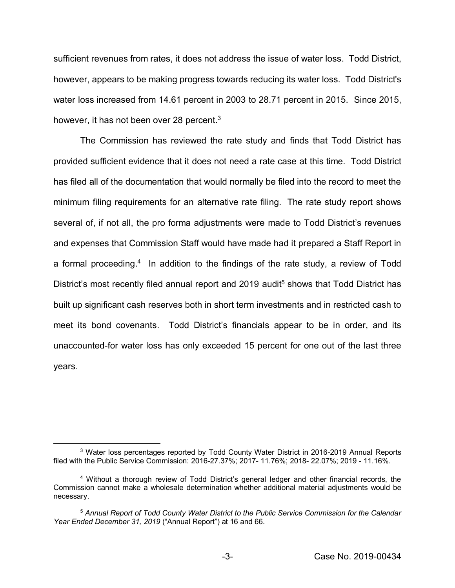sufficient revenues from rates, it does not address the issue of water loss. Todd District, however, appears to be making progress towards reducing its water loss. Todd District's water loss increased from 14.61 percent in 2003 to 28.71 percent in 2015. Since 2015, however, it has not been over 28 percent.<sup>3</sup>

The Commission has reviewed the rate study and finds that Todd District has provided sufficient evidence that it does not need a rate case at this time. Todd District has filed all of the documentation that would normally be filed into the record to meet the minimum filing requirements for an alternative rate filing. The rate study report shows several of, if not all, the pro forma adjustments were made to Todd District's revenues and expenses that Commission Staff would have made had it prepared a Staff Report in a formal proceeding.<sup>4</sup> In addition to the findings of the rate study, a review of Todd District's most recently filed annual report and 2019 audit<sup>5</sup> shows that Todd District has built up significant cash reserves both in short term investments and in restricted cash to meet its bond covenants. Todd District's financials appear to be in order, and its unaccounted-for water loss has only exceeded 15 percent for one out of the last three years.

 <sup>3</sup> Water loss percentages reported by Todd County Water District in 2016-2019 Annual Reports filed with the Public Service Commission: 2016-27.37%; 2017- 11.76%; 2018- 22.07%; 2019 - 11.16%.

<sup>4</sup> Without a thorough review of Todd District's general ledger and other financial records, the Commission cannot make a wholesale determination whether additional material adjustments would be necessary.

<sup>5</sup> *Annual Report of Todd County Water District to the Public Service Commission for the Calendar Year Ended December 31, 2019* ("Annual Report") at 16 and 66.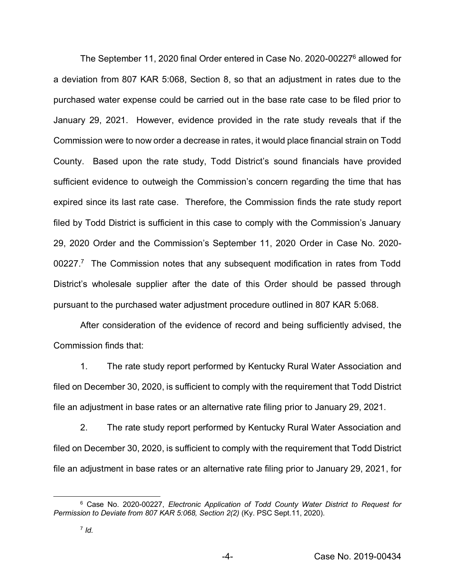The September 11, 2020 final Order entered in Case No. 2020-00227<sup>6</sup> allowed for a deviation from 807 KAR 5:068, Section 8, so that an adjustment in rates due to the purchased water expense could be carried out in the base rate case to be filed prior to January 29, 2021. However, evidence provided in the rate study reveals that if the Commission were to now order a decrease in rates, it would place financial strain on Todd County. Based upon the rate study, Todd District's sound financials have provided sufficient evidence to outweigh the Commission's concern regarding the time that has expired since its last rate case. Therefore, the Commission finds the rate study report filed by Todd District is sufficient in this case to comply with the Commission's January 29, 2020 Order and the Commission's September 11, 2020 Order in Case No. 2020- 00227.<sup>7</sup> The Commission notes that any subsequent modification in rates from Todd District's wholesale supplier after the date of this Order should be passed through pursuant to the purchased water adjustment procedure outlined in 807 KAR 5:068.

After consideration of the evidence of record and being sufficiently advised, the Commission finds that:

1. The rate study report performed by Kentucky Rural Water Association and filed on December 30, 2020, is sufficient to comply with the requirement that Todd District file an adjustment in base rates or an alternative rate filing prior to January 29, 2021.

2. The rate study report performed by Kentucky Rural Water Association and filed on December 30, 2020, is sufficient to comply with the requirement that Todd District file an adjustment in base rates or an alternative rate filing prior to January 29, 2021, for

 <sup>6</sup> Case No. 2020-00227, *Electronic Application of Todd County Water District to Request for Permission to Deviate from 807 KAR 5:068, Section 2(2)* (Ky. PSC Sept.11, 2020).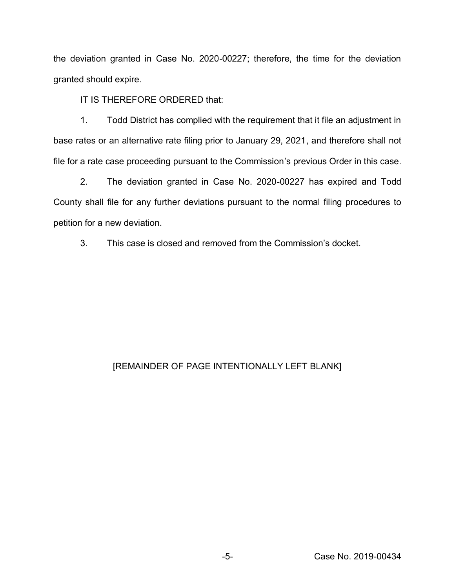the deviation granted in Case No. 2020-00227; therefore, the time for the deviation granted should expire.

IT IS THEREFORE ORDERED that:

1. Todd District has complied with the requirement that it file an adjustment in base rates or an alternative rate filing prior to January 29, 2021, and therefore shall not file for a rate case proceeding pursuant to the Commission's previous Order in this case.

2. The deviation granted in Case No. 2020-00227 has expired and Todd County shall file for any further deviations pursuant to the normal filing procedures to petition for a new deviation.

3. This case is closed and removed from the Commission's docket.

## [REMAINDER OF PAGE INTENTIONALLY LEFT BLANK]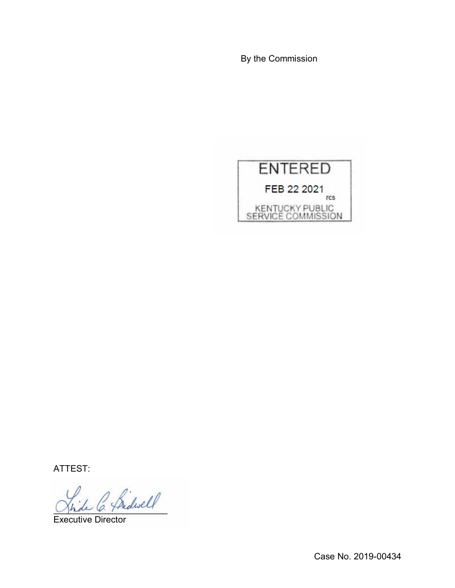By the Commission



ATTEST:

 $\frac{1}{\beta}$  hedeself

Executive Director

Case No. 2019-00434